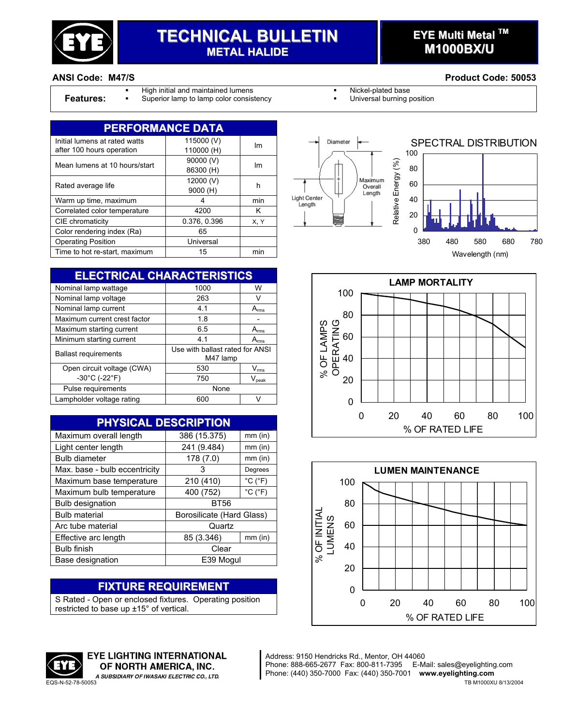

# **TECHNICAL BULLETIN METAL HALIDE**

## **EYE Multi Metal TM M1000BX/U**

- High initial and maintained lumens **Nickel-plated base** Nickel-plated base
- **Features:** Superior lamp to lamp color consistency **· Interest in the Universal burning position**

| <b>PERFORMANCE DATA</b>       |              |      |  |
|-------------------------------|--------------|------|--|
| Initial lumens at rated watts | 115000 (V)   | Im   |  |
| after 100 hours operation     | 110000 (H)   |      |  |
| Mean lumens at 10 hours/start | 90000 (V)    | Im   |  |
|                               | 86300 (H)    |      |  |
| Rated average life            | 12000 (V)    | h    |  |
|                               | 9000 (H)     |      |  |
| Warm up time, maximum         | 4            | min  |  |
| Correlated color temperature  | 4200         | Κ    |  |
| CIE chromaticity              | 0.376, 0.396 | X, Y |  |
| Color rendering index (Ra)    | 65           |      |  |
| <b>Operating Position</b>     | Universal    |      |  |
| Time to hot re-start, maximum | 15           | min  |  |

| <b>ELECTRICAL CHARACTERISTICS</b> |                             |  |  |  |
|-----------------------------------|-----------------------------|--|--|--|
| 1000                              | W                           |  |  |  |
| 263                               | v                           |  |  |  |
| 4.1                               | A <sub>rms</sub>            |  |  |  |
| 1.8                               |                             |  |  |  |
| 6.5                               | $A_{\rm rms}$               |  |  |  |
| 4.1                               | $A_{rms}$                   |  |  |  |
| Use with ballast rated for ANSI   |                             |  |  |  |
| 530                               | $\mathsf{V}_{\mathsf{rms}}$ |  |  |  |
| 750                               | $V_{\text{peak}}$           |  |  |  |
| None                              |                             |  |  |  |
| 600                               | $\lq$                       |  |  |  |
|                                   | M47 lamp                    |  |  |  |

| <b>PHYSICAL DESCRIPTION</b>   |                           |                              |  |  |
|-------------------------------|---------------------------|------------------------------|--|--|
| Maximum overall length        | 386 (15.375)              | $mm$ (in)                    |  |  |
| Light center length           | 241 (9.484)               | $mm$ (in)                    |  |  |
| <b>Bulb diameter</b>          | 178 (7.0)                 | $mm$ (in)                    |  |  |
| Max. base - bulb eccentricity | 3                         | Degrees                      |  |  |
| Maximum base temperature      | 210 (410)                 | $^{\circ}$ C ( $^{\circ}$ F) |  |  |
| Maximum bulb temperature      | 400 (752)                 | $^{\circ}$ C ( $^{\circ}$ F) |  |  |
| <b>Bulb designation</b>       | <b>BT56</b>               |                              |  |  |
| <b>Bulb material</b>          | Borosilicate (Hard Glass) |                              |  |  |
| Arc tube material             | Quartz                    |                              |  |  |
| Effective arc length          | 85 (3.346)                | $mm$ (in)                    |  |  |
| <b>Bulb finish</b>            | Clear                     |                              |  |  |
| Base designation              | E39 Mogul                 |                              |  |  |

## **FIXTURE REQUIREMENT**

S Rated - Open or enclosed fixtures. Operating position restricted to base up ±15° of vertical.









Address: 9150 Hendricks Rd., Mentor, OH 44060 Phone: 888-665-2677 Fax: 800-811-7395 E-Mail: sales@eyelighting.com Phone: (440) 350-7000 Fax: (440) 350-7001 **www.eyelighting.com** A SUBSIDIARY OF IWASAKI ELECTRIC CO., LTD. PHONE: (440) 350-7000 Fax: (440) 350-7001 www.eyelighting.com TB M1000XU 8/13/2004<br>TB M1000XU 8/13/2004



**EYE LIGHTING INTERNATIONAL** OF NORTH AMERICA, INC.

#### **ANSI Code: M47/S Product Code: 50053**